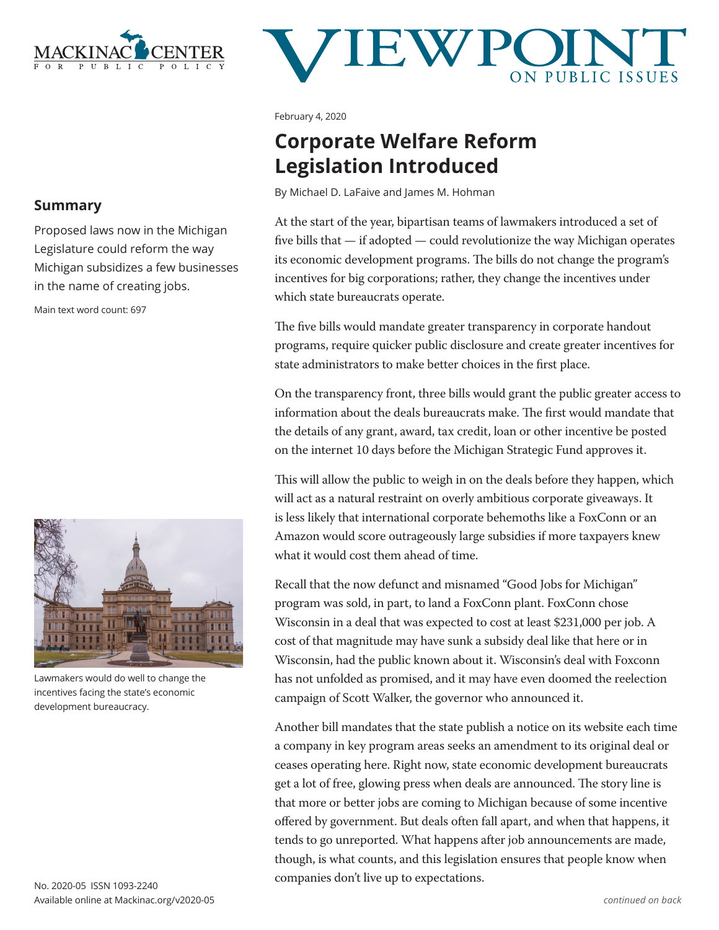

# **JEWP**

February 4, 2020

## **Corporate Welfare Reform Legislation Introduced**

By Michael D. LaFaive and James M. Hohman

At the start of the year, bipartisan teams of lawmakers introduced a set of five bills that — if adopted — could revolutionize the way Michigan operates its economic development programs. The bills do not change the program's incentives for big corporations; rather, they change the incentives under which state bureaucrats operate.

The five bills would mandate greater transparency in corporate handout programs, require quicker public disclosure and create greater incentives for state administrators to make better choices in the first place.

On the transparency front, three bills would grant the public greater access to information about the deals bureaucrats make. The first would mandate that the details of any grant, award, tax credit, loan or other incentive be posted on the internet 10 days before the Michigan Strategic Fund approves it.

This will allow the public to weigh in on the deals before they happen, which will act as a natural restraint on overly ambitious corporate giveaways. It is less likely that international corporate behemoths like a FoxConn or an Amazon would score outrageously large subsidies if more taxpayers knew what it would cost them ahead of time.

Recall that the now defunct and misnamed "Good Jobs for Michigan" program was sold, in part, to land a FoxConn plant. FoxConn chose Wisconsin in a deal that was expected to cost at least \$231,000 per job. A cost of that magnitude may have sunk a subsidy deal like that here or in Wisconsin, had the public known about it. Wisconsin's deal with Foxconn has not unfolded as promised, and it may have even doomed the reelection campaign of Scott Walker, the governor who announced it.

Another bill mandates that the state publish a notice on its website each time a company in key program areas seeks an amendment to its original deal or ceases operating here. Right now, state economic development bureaucrats get a lot of free, glowing press when deals are announced. The story line is that more or better jobs are coming to Michigan because of some incentive offered by government. But deals often fall apart, and when that happens, it tends to go unreported. What happens after job announcements are made, though, is what counts, and this legislation ensures that people know when companies don't live up to expectations.

### **Summary**

Proposed laws now in the Michigan Legislature could reform the way Michigan subsidizes a few businesses in the name of creating jobs.

Main text word count: 697



Lawmakers would do well to change the incentives facing the state's economic development bureaucracy.